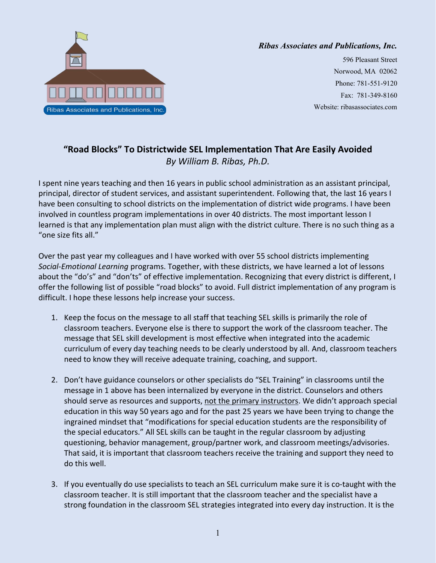

## *Ribas Associates and Publications, Inc.*

596 Pleasant Street Norwood, MA 02062 Phone: 781-551-9120 Fax: 781-349-8160 Website: ribasassociates.com

## **"Road Blocks" To Districtwide SEL Implementation That Are Easily Avoided** *By William B. Ribas, Ph.D.*

I spent nine years teaching and then 16 years in public school administration as an assistant principal, principal, director of student services, and assistant superintendent. Following that, the last 16 years I have been consulting to school districts on the implementation of district wide programs. I have been involved in countless program implementations in over 40 districts. The most important lesson I learned is that any implementation plan must align with the district culture. There is no such thing as a "one size fits all."

Over the past year my colleagues and I have worked with over 55 school districts implementing *Social-Emotional Learning* programs. Together, with these districts, we have learned a lot of lessons about the "do's" and "don'ts" of effective implementation. Recognizing that every district is different, I offer the following list of possible "road blocks" to avoid. Full district implementation of any program is difficult. I hope these lessons help increase your success.

- 1. Keep the focus on the message to all staff that teaching SEL skills is primarily the role of classroom teachers. Everyone else is there to support the work of the classroom teacher. The message that SEL skill development is most effective when integrated into the academic curriculum of every day teaching needs to be clearly understood by all. And, classroom teachers need to know they will receive adequate training, coaching, and support.
- 2. Don't have guidance counselors or other specialists do "SEL Training" in classrooms until the message in 1 above has been internalized by everyone in the district. Counselors and others should serve as resources and supports, not the primary instructors. We didn't approach special education in this way 50 years ago and for the past 25 years we have been trying to change the ingrained mindset that "modifications for special education students are the responsibility of the special educators." All SEL skills can be taught in the regular classroom by adjusting questioning, behavior management, group/partner work, and classroom meetings/advisories. That said, it is important that classroom teachers receive the training and support they need to do this well.
- 3. If you eventually do use specialists to teach an SEL curriculum make sure it is co-taught with the classroom teacher. It is still important that the classroom teacher and the specialist have a strong foundation in the classroom SEL strategies integrated into every day instruction. It is the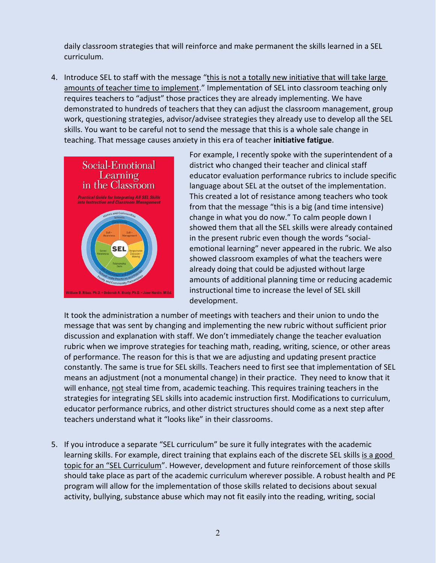daily classroom strategies that will reinforce and make permanent the skills learned in a SEL curriculum.

4. Introduce SEL to staff with the message "this is not a totally new initiative that will take large amounts of teacher time to implement." Implementation of SEL into classroom teaching only requires teachers to "adjust" those practices they are already implementing. We have demonstrated to hundreds of teachers that they can adjust the classroom management, group work, questioning strategies, advisor/advisee strategies they already use to develop all the SEL skills. You want to be careful not to send the message that this is a whole sale change in teaching. That message causes anxiety in this era of teacher **initiative fatigue**.



For example, I recently spoke with the superintendent of a district who changed their teacher and clinical staff educator evaluation performance rubrics to include specific language about SEL at the outset of the implementation. This created a lot of resistance among teachers who took from that the message "this is a big (and time intensive) change in what you do now." To calm people down I showed them that all the SEL skills were already contained in the present rubric even though the words "socialemotional learning" never appeared in the rubric. We also showed classroom examples of what the teachers were already doing that could be adjusted without large amounts of additional planning time or reducing academic instructional time to increase the level of SEL skill development.

It took the administration a number of meetings with teachers and their union to undo the message that was sent by changing and implementing the new rubric without sufficient prior discussion and explanation with staff. We don't immediately change the teacher evaluation rubric when we improve strategies for teaching math, reading, writing, science, or other areas of performance. The reason for this is that we are adjusting and updating present practice constantly. The same is true for SEL skills. Teachers need to first see that implementation of SEL means an adjustment (not a monumental change) in their practice. They need to know that it will enhance, not steal time from, academic teaching. This requires training teachers in the strategies for integrating SEL skills into academic instruction first. Modifications to curriculum, educator performance rubrics, and other district structures should come as a next step after teachers understand what it "looks like" in their classrooms.

5. If you introduce a separate "SEL curriculum" be sure it fully integrates with the academic learning skills. For example, direct training that explains each of the discrete SEL skills is a good topic for an "SEL Curriculum". However, development and future reinforcement of those skills should take place as part of the academic curriculum wherever possible. A robust health and PE program will allow for the implementation of those skills related to decisions about sexual activity, bullying, substance abuse which may not fit easily into the reading, writing, social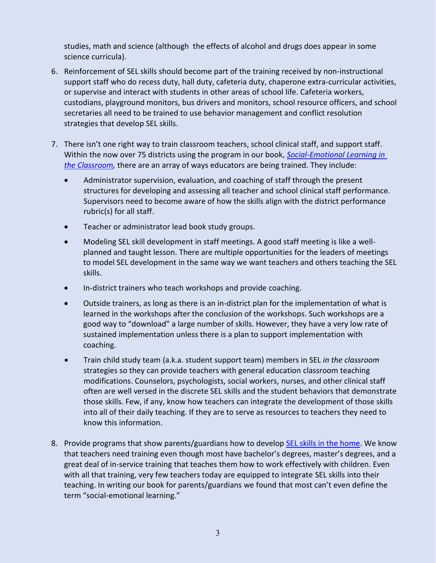studies, math and science (although the effects of alcohol and drugs does appear in some science curricula).

- 6. Reinforcement of SEL skills should become part of the training received by non-instructional support staff who do recess duty, hall duty, cafeteria duty, chaperone extra-curricular activities, or supervise and interact with students in other areas of school life. Cafeteria workers, custodians, playground monitors, bus drivers and monitors, school resource officers, and school secretaries all need to be trained to use behavior management and conflict resolution strategies that develop SEL skills.
- 7. There isn't one right way to train classroom teachers, school clinical staff, and support staff. Within the now over 75 districts using the program in our book, *[Social-Emotional Learning in](https://ribasassociates.ecwid.com/Social-Emotional-Learning-SEL-in-the-Classroom-2017-p102347861)  [the Classroom,](https://ribasassociates.ecwid.com/Social-Emotional-Learning-SEL-in-the-Classroom-2017-p102347861)* there are an array of ways educators are being trained. They include:
	- Administrator supervision, evaluation, and coaching of staff through the present structures for developing and assessing all teacher and school clinical staff performance. Supervisors need to become aware of how the skills align with the district performance rubric(s) for all staff.
	- **•** Teacher or administrator lead book study groups.
	- Modeling SEL skill development in staff meetings. A good staff meeting is like a wellplanned and taught lesson. There are multiple opportunities for the leaders of meetings to model SEL development in the same way we want teachers and others teaching the SEL skills.
	- In-district trainers who teach workshops and provide coaching.
	- Outside trainers, as long as there is an in-district plan for the implementation of what is learned in the workshops after the conclusion of the workshops. Such workshops are a good way to "download" a large number of skills. However, they have a very low rate of sustained implementation unless there is a plan to support implementation with coaching.
	- Train child study team (a.k.a. student support team) members in SEL *in the classroom* strategies so they can provide teachers with general education classroom teaching modifications. Counselors, psychologists, social workers, nurses, and other clinical staff often are well versed in the discrete SEL skills and the student behaviors that demonstrate those skills. Few, if any, know how teachers can integrate the development of those skills into all of their daily teaching. If they are to serve as resources to teachers they need to know this information.
- 8. Provide programs that show parents/guardians how to develo[p SEL skills in the home.](https://ribasassociates.ecwid.com/Social-Emotional-Learning-SEL-in-the-Home-p102312747) We know that teachers need training even though most have bachelor's degrees, master's degrees, and a great deal of in-service training that teaches them how to work effectively with children. Even with all that training, very few teachers today are equipped to integrate SEL skills into their teaching. In writing our book for parents/guardians we found that most can't even define the term "social-emotional learning."